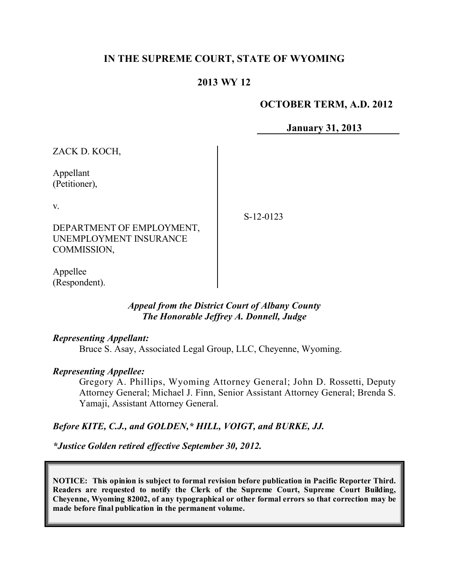# **IN THE SUPREME COURT, STATE OF WYOMING**

# **2013 WY 12**

### **OCTOBER TERM, A.D. 2012**

**January 31, 2013**

ZACK D. KOCH, Appellant (Petitioner), v. DEPARTMENT OF EMPLOYMENT, UNEMPLOYMENT INSURANCE COMMISSION, S-12-0123

Appellee (Respondent).

### *Appeal from the District Court of Albany County The Honorable Jeffrey A. Donnell, Judge*

### *Representing Appellant:*

Bruce S. Asay, Associated Legal Group, LLC, Cheyenne, Wyoming.

### *Representing Appellee:*

Gregory A. Phillips, Wyoming Attorney General; John D. Rossetti, Deputy Attorney General; Michael J. Finn, Senior Assistant Attorney General; Brenda S. Yamaji, Assistant Attorney General.

## *Before KITE, C.J., and GOLDEN,\* HILL, VOIGT, and BURKE, JJ.*

*\*Justice Golden retired effective September 30, 2012.*

**NOTICE: This opinion is subject to formal revision before publication in Pacific Reporter Third. Readers are requested to notify the Clerk of the Supreme Court, Supreme Court Building, Cheyenne, Wyoming 82002, of any typographical or other formal errors so that correction may be made before final publication in the permanent volume.**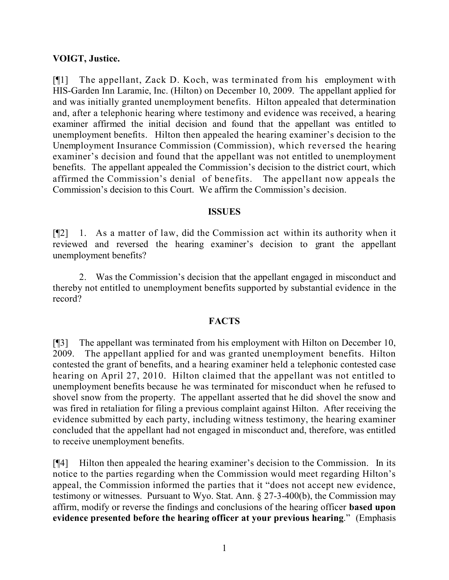## **VOIGT, Justice.**

[¶1] The appellant, Zack D. Koch, was terminated from his employment with HIS-Garden Inn Laramie, Inc. (Hilton) on December 10, 2009. The appellant applied for and was initially granted unemployment benefits. Hilton appealed that determination and, after a telephonic hearing where testimony and evidence was received, a hearing examiner affirmed the initial decision and found that the appellant was entitled to unemployment benefits. Hilton then appealed the hearing examiner's decision to the Unemployment Insurance Commission (Commission), which reversed the hearing examiner's decision and found that the appellant was not entitled to unemployment benefits. The appellant appealed the Commission's decision to the district court, which affirmed the Commission's denial of benefits. The appellant now appeals the Commission's decision to this Court. We affirm the Commission's decision.

#### **ISSUES**

[¶2] 1. As a matter of law, did the Commission act within its authority when it reviewed and reversed the hearing examiner's decision to grant the appellant unemployment benefits?

2. Was the Commission's decision that the appellant engaged in misconduct and thereby not entitled to unemployment benefits supported by substantial evidence in the record?

### **FACTS**

[¶3] The appellant was terminated from his employment with Hilton on December 10, 2009. The appellant applied for and was granted unemployment benefits. Hilton contested the grant of benefits, and a hearing examiner held a telephonic contested case hearing on April 27, 2010. Hilton claimed that the appellant was not entitled to unemployment benefits because he was terminated for misconduct when he refused to shovel snow from the property. The appellant asserted that he did shovel the snow and was fired in retaliation for filing a previous complaint against Hilton. After receiving the evidence submitted by each party, including witness testimony, the hearing examiner concluded that the appellant had not engaged in misconduct and, therefore, was entitled to receive unemployment benefits.

[¶4] Hilton then appealed the hearing examiner's decision to the Commission. In its notice to the parties regarding when the Commission would meet regarding Hilton's appeal, the Commission informed the parties that it "does not accept new evidence, testimony or witnesses. Pursuant to Wyo. Stat. Ann. § 27-3-400(b), the Commission may affirm, modify or reverse the findings and conclusions of the hearing officer **based upon evidence presented before the hearing officer at your previous hearing**." (Emphasis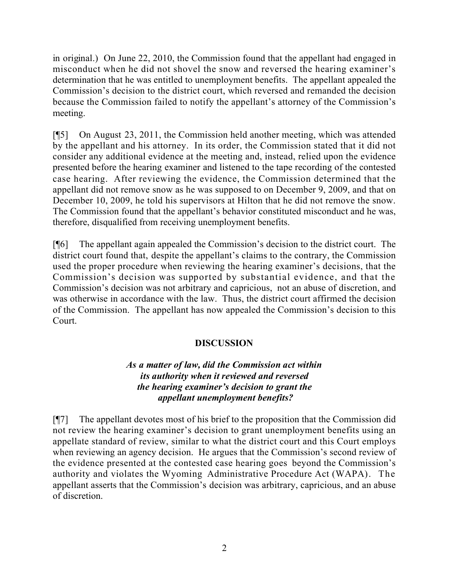in original.) On June 22, 2010, the Commission found that the appellant had engaged in misconduct when he did not shovel the snow and reversed the hearing examiner's determination that he was entitled to unemployment benefits. The appellant appealed the Commission's decision to the district court, which reversed and remanded the decision because the Commission failed to notify the appellant's attorney of the Commission's meeting.

[¶5] On August 23, 2011, the Commission held another meeting, which was attended by the appellant and his attorney. In its order, the Commission stated that it did not consider any additional evidence at the meeting and, instead, relied upon the evidence presented before the hearing examiner and listened to the tape recording of the contested case hearing. After reviewing the evidence, the Commission determined that the appellant did not remove snow as he was supposed to on December 9, 2009, and that on December 10, 2009, he told his supervisors at Hilton that he did not remove the snow. The Commission found that the appellant's behavior constituted misconduct and he was, therefore, disqualified from receiving unemployment benefits.

[¶6] The appellant again appealed the Commission's decision to the district court. The district court found that, despite the appellant's claims to the contrary, the Commission used the proper procedure when reviewing the hearing examiner's decisions, that the Commission's decision was supported by substantial evidence, and that the Commission's decision was not arbitrary and capricious, not an abuse of discretion, and was otherwise in accordance with the law. Thus, the district court affirmed the decision of the Commission. The appellant has now appealed the Commission's decision to this Court.

# **DISCUSSION**

# *As a matter of law, did the Commission act within its authority when it reviewed and reversed the hearing examiner's decision to grant the appellant unemployment benefits?*

[¶7] The appellant devotes most of his brief to the proposition that the Commission did not review the hearing examiner's decision to grant unemployment benefits using an appellate standard of review, similar to what the district court and this Court employs when reviewing an agency decision. He argues that the Commission's second review of the evidence presented at the contested case hearing goes beyond the Commission's authority and violates the Wyoming Administrative Procedure Act (WAPA). The appellant asserts that the Commission's decision was arbitrary, capricious, and an abuse of discretion.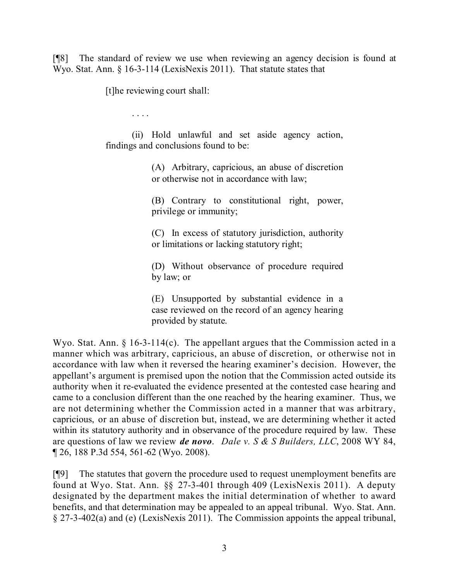[¶8] The standard of review we use when reviewing an agency decision is found at Wyo. Stat. Ann. § 16-3-114 (LexisNexis 2011). That statute states that

[t]he reviewing court shall:

. . . .

(ii) Hold unlawful and set aside agency action, findings and conclusions found to be:

> (A) Arbitrary, capricious, an abuse of discretion or otherwise not in accordance with law;

> (B) Contrary to constitutional right, power, privilege or immunity;

> (C) In excess of statutory jurisdiction, authority or limitations or lacking statutory right;

> (D) Without observance of procedure required by law; or

> (E) Unsupported by substantial evidence in a case reviewed on the record of an agency hearing provided by statute.

Wyo. Stat. Ann. § 16-3-114(c). The appellant argues that the Commission acted in a manner which was arbitrary, capricious, an abuse of discretion, or otherwise not in accordance with law when it reversed the hearing examiner's decision. However, the appellant's argument is premised upon the notion that the Commission acted outside its authority when it re-evaluated the evidence presented at the contested case hearing and came to a conclusion different than the one reached by the hearing examiner. Thus, we are not determining whether the Commission acted in a manner that was arbitrary, capricious, or an abuse of discretion but, instead, we are determining whether it acted within its statutory authority and in observance of the procedure required by law. These are questions of law we review *de novo*. *Dale v. S & S Builders, LLC*, 2008 WY 84, ¶ 26, 188 P.3d 554, 561-62 (Wyo. 2008).

[¶9] The statutes that govern the procedure used to request unemployment benefits are found at Wyo. Stat. Ann. §§ 27-3-401 through 409 (LexisNexis 2011). A deputy designated by the department makes the initial determination of whether to award benefits, and that determination may be appealed to an appeal tribunal. Wyo. Stat. Ann. § 27-3-402(a) and (e) (LexisNexis 2011). The Commission appoints the appeal tribunal,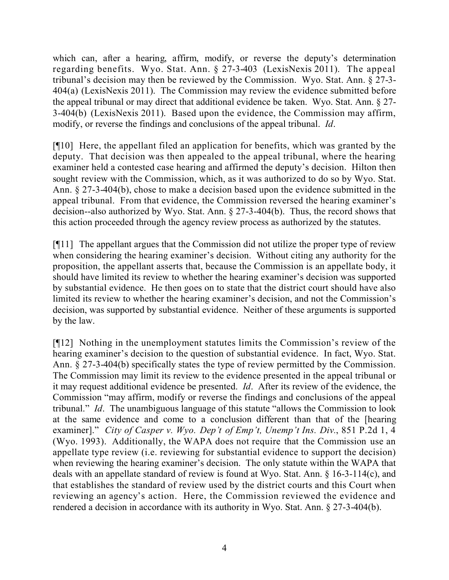which can, after a hearing, affirm, modify, or reverse the deputy's determination regarding benefits. Wyo. Stat. Ann. § 27-3-403 (LexisNexis 2011). The appeal tribunal's decision may then be reviewed by the Commission. Wyo. Stat. Ann. § 27-3- 404(a) (LexisNexis 2011). The Commission may review the evidence submitted before the appeal tribunal or may direct that additional evidence be taken. Wyo. Stat. Ann. § 27- 3-404(b) (LexisNexis 2011). Based upon the evidence, the Commission may affirm, modify, or reverse the findings and conclusions of the appeal tribunal. *Id*.

[¶10] Here, the appellant filed an application for benefits, which was granted by the deputy. That decision was then appealed to the appeal tribunal, where the hearing examiner held a contested case hearing and affirmed the deputy's decision. Hilton then sought review with the Commission, which, as it was authorized to do so by Wyo. Stat. Ann. § 27-3-404(b), chose to make a decision based upon the evidence submitted in the appeal tribunal. From that evidence, the Commission reversed the hearing examiner's decision--also authorized by Wyo. Stat. Ann. § 27-3-404(b). Thus, the record shows that this action proceeded through the agency review process as authorized by the statutes.

[¶11] The appellant argues that the Commission did not utilize the proper type of review when considering the hearing examiner's decision. Without citing any authority for the proposition, the appellant asserts that, because the Commission is an appellate body, it should have limited its review to whether the hearing examiner's decision was supported by substantial evidence. He then goes on to state that the district court should have also limited its review to whether the hearing examiner's decision, and not the Commission's decision, was supported by substantial evidence. Neither of these arguments is supported by the law.

[¶12] Nothing in the unemployment statutes limits the Commission's review of the hearing examiner's decision to the question of substantial evidence. In fact, Wyo. Stat. Ann. § 27-3-404(b) specifically states the type of review permitted by the Commission. The Commission may limit its review to the evidence presented in the appeal tribunal or it may request additional evidence be presented. *Id*. After its review of the evidence, the Commission "may affirm, modify or reverse the findings and conclusions of the appeal tribunal." *Id*. The unambiguous language of this statute "allows the Commission to look at the same evidence and come to a conclusion different than that of the [hearing examiner]." *City of Casper v. Wyo. Dep't of Emp't, Unemp't Ins. Div.*, 851 P.2d 1, 4 (Wyo. 1993). Additionally, the WAPA does not require that the Commission use an appellate type review (i.e. reviewing for substantial evidence to support the decision) when reviewing the hearing examiner's decision. The only statute within the WAPA that deals with an appellate standard of review is found at Wyo. Stat. Ann. § 16-3-114(c), and that establishes the standard of review used by the district courts and this Court when reviewing an agency's action. Here, the Commission reviewed the evidence and rendered a decision in accordance with its authority in Wyo. Stat. Ann. § 27-3-404(b).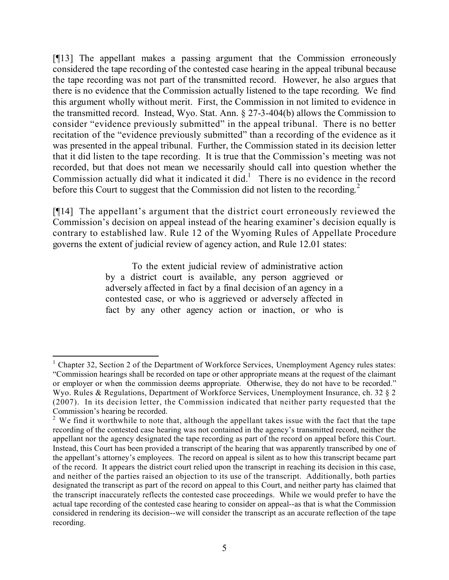[¶13] The appellant makes a passing argument that the Commission erroneously considered the tape recording of the contested case hearing in the appeal tribunal because the tape recording was not part of the transmitted record. However, he also argues that there is no evidence that the Commission actually listened to the tape recording. We find this argument wholly without merit. First, the Commission in not limited to evidence in the transmitted record. Instead, Wyo. Stat. Ann. § 27-3-404(b) allows the Commission to consider "evidence previously submitted" in the appeal tribunal. There is no better recitation of the "evidence previously submitted" than a recording of the evidence as it was presented in the appeal tribunal. Further, the Commission stated in its decision letter that it did listen to the tape recording. It is true that the Commission's meeting was not recorded, but that does not mean we necessarily should call into question whether the Commission actually did what it indicated it did.<sup>1</sup> There is no evidence in the record before this Court to suggest that the Commission did not listen to the recording.<sup>2</sup>

[¶14] The appellant's argument that the district court erroneously reviewed the Commission's decision on appeal instead of the hearing examiner's decision equally is contrary to established law. Rule 12 of the Wyoming Rules of Appellate Procedure governs the extent of judicial review of agency action, and Rule 12.01 states:

> To the extent judicial review of administrative action by a district court is available, any person aggrieved or adversely affected in fact by a final decision of an agency in a contested case, or who is aggrieved or adversely affected in fact by any other agency action or inaction, or who is

 $\overline{a}$  $1$  Chapter 32, Section 2 of the Department of Workforce Services, Unemployment Agency rules states: "Commission hearings shall be recorded on tape or other appropriate means at the request of the claimant or employer or when the commission deems appropriate. Otherwise, they do not have to be recorded." Wyo. Rules & Regulations, Department of Workforce Services, Unemployment Insurance, ch. 32 § 2 (2007). In its decision letter, the Commission indicated that neither party requested that the Commission's hearing be recorded.

<sup>&</sup>lt;sup>2</sup> We find it worthwhile to note that, although the appellant takes issue with the fact that the tape recording of the contested case hearing was not contained in the agency's transmitted record, neither the appellant nor the agency designated the tape recording as part of the record on appeal before this Court. Instead, this Court has been provided a transcript of the hearing that was apparently transcribed by one of the appellant's attorney's employees. The record on appeal is silent as to how this transcript became part of the record. It appears the district court relied upon the transcript in reaching its decision in this case, and neither of the parties raised an objection to its use of the transcript. Additionally, both parties designated the transcript as part of the record on appeal to this Court, and neither party has claimed that the transcript inaccurately reflects the contested case proceedings. While we would prefer to have the actual tape recording of the contested case hearing to consider on appeal--as that is what the Commission considered in rendering its decision--we will consider the transcript as an accurate reflection of the tape recording.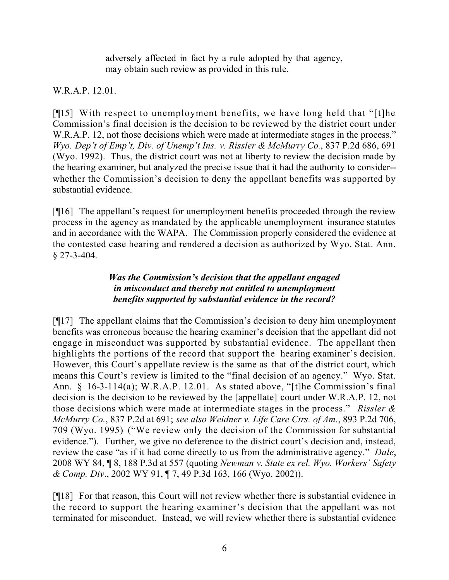adversely affected in fact by a rule adopted by that agency, may obtain such review as provided in this rule.

# W.R.A.P. 12.01.

[¶15] With respect to unemployment benefits, we have long held that "[t]he Commission's final decision is the decision to be reviewed by the district court under W.R.A.P. 12, not those decisions which were made at intermediate stages in the process." *Wyo. Dep't of Emp't, Div. of Unemp't Ins. v. Rissler & McMurry Co.*, 837 P.2d 686, 691 (Wyo. 1992). Thus, the district court was not at liberty to review the decision made by the hearing examiner, but analyzed the precise issue that it had the authority to consider- whether the Commission's decision to deny the appellant benefits was supported by substantial evidence.

[¶16] The appellant's request for unemployment benefits proceeded through the review process in the agency as mandated by the applicable unemployment insurance statutes and in accordance with the WAPA. The Commission properly considered the evidence at the contested case hearing and rendered a decision as authorized by Wyo. Stat. Ann. § 27-3-404.

# *Was the Commission's decision that the appellant engaged in misconduct and thereby not entitled to unemployment benefits supported by substantial evidence in the record?*

[¶17] The appellant claims that the Commission's decision to deny him unemployment benefits was erroneous because the hearing examiner's decision that the appellant did not engage in misconduct was supported by substantial evidence. The appellant then highlights the portions of the record that support the hearing examiner's decision. However, this Court's appellate review is the same as that of the district court, which means this Court's review is limited to the "final decision of an agency." Wyo. Stat. Ann. § 16-3-114(a); W.R.A.P. 12.01. As stated above, "[t]he Commission's final decision is the decision to be reviewed by the [appellate] court under W.R.A.P. 12, not those decisions which were made at intermediate stages in the process." *Rissler & McMurry Co.*, 837 P.2d at 691; *see also Weidner v. Life Care Ctrs. of Am.*, 893 P.2d 706, 709 (Wyo. 1995) ("We review only the decision of the Commission for substantial evidence."). Further, we give no deference to the district court's decision and, instead, review the case "as if it had come directly to us from the administrative agency." *Dale*, 2008 WY 84, ¶ 8, 188 P.3d at 557 (quoting *Newman v. State ex rel. Wyo. Workers' Safety & Comp. Div*., 2002 WY 91, ¶ 7, 49 P.3d 163, 166 (Wyo. 2002)).

[¶18] For that reason, this Court will not review whether there is substantial evidence in the record to support the hearing examiner's decision that the appellant was not terminated for misconduct. Instead, we will review whether there is substantial evidence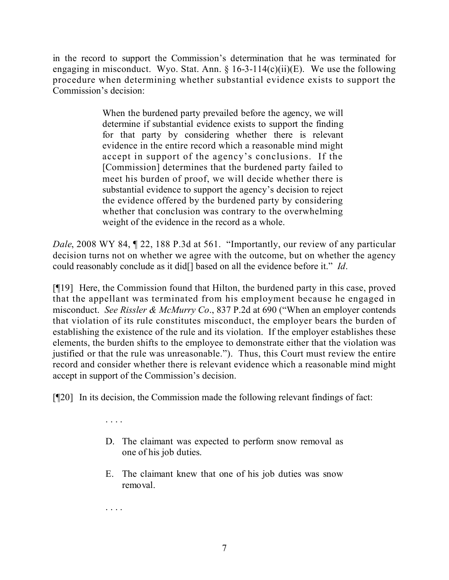in the record to support the Commission's determination that he was terminated for engaging in misconduct. Wyo. Stat. Ann.  $\S$  16-3-114(c)(ii)(E). We use the following procedure when determining whether substantial evidence exists to support the Commission's decision:

> When the burdened party prevailed before the agency, we will determine if substantial evidence exists to support the finding for that party by considering whether there is relevant evidence in the entire record which a reasonable mind might accept in support of the agency's conclusions. If the [Commission] determines that the burdened party failed to meet his burden of proof, we will decide whether there is substantial evidence to support the agency's decision to reject the evidence offered by the burdened party by considering whether that conclusion was contrary to the overwhelming weight of the evidence in the record as a whole.

*Dale*, 2008 WY 84, 122, 188 P.3d at 561. "Importantly, our review of any particular decision turns not on whether we agree with the outcome, but on whether the agency could reasonably conclude as it did[] based on all the evidence before it." *Id*.

[¶19] Here, the Commission found that Hilton, the burdened party in this case, proved that the appellant was terminated from his employment because he engaged in misconduct. *See Rissler & McMurry Co*., 837 P.2d at 690 ("When an employer contends that violation of its rule constitutes misconduct, the employer bears the burden of establishing the existence of the rule and its violation. If the employer establishes these elements, the burden shifts to the employee to demonstrate either that the violation was justified or that the rule was unreasonable."). Thus, this Court must review the entire record and consider whether there is relevant evidence which a reasonable mind might accept in support of the Commission's decision.

[¶20] In its decision, the Commission made the following relevant findings of fact:

- D. The claimant was expected to perform snow removal as one of his job duties.
- E. The claimant knew that one of his job duties was snow removal.

. . . .

. . . .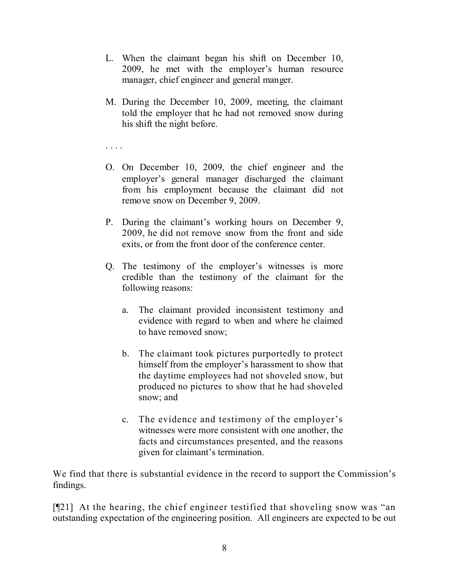- L. When the claimant began his shift on December 10, 2009, he met with the employer's human resource manager, chief engineer and general manger.
- M. During the December 10, 2009, meeting, the claimant told the employer that he had not removed snow during his shift the night before.

. . . .

- O. On December 10, 2009, the chief engineer and the employer's general manager discharged the claimant from his employment because the claimant did not remove snow on December 9, 2009.
- P. During the claimant's working hours on December 9, 2009, he did not remove snow from the front and side exits, or from the front door of the conference center.
- Q. The testimony of the employer's witnesses is more credible than the testimony of the claimant for the following reasons:
	- a. The claimant provided inconsistent testimony and evidence with regard to when and where he claimed to have removed snow;
	- b. The claimant took pictures purportedly to protect himself from the employer's harassment to show that the daytime employees had not shoveled snow, but produced no pictures to show that he had shoveled snow; and
	- c. The evidence and testimony of the employer's witnesses were more consistent with one another, the facts and circumstances presented, and the reasons given for claimant's termination.

We find that there is substantial evidence in the record to support the Commission's findings.

[¶21] At the hearing, the chief engineer testified that shoveling snow was "an outstanding expectation of the engineering position. All engineers are expected to be out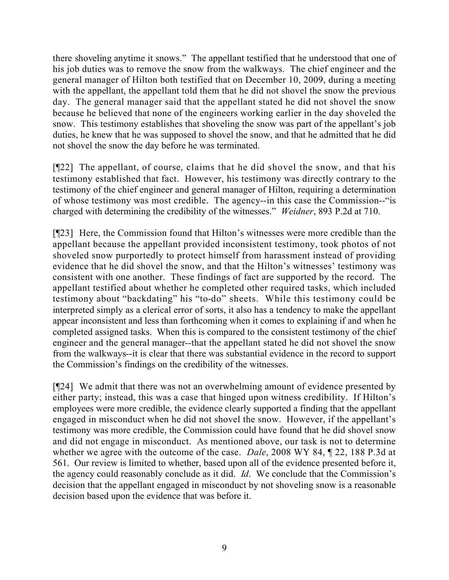there shoveling anytime it snows." The appellant testified that he understood that one of his job duties was to remove the snow from the walkways. The chief engineer and the general manager of Hilton both testified that on December 10, 2009, during a meeting with the appellant, the appellant told them that he did not shovel the snow the previous day. The general manager said that the appellant stated he did not shovel the snow because he believed that none of the engineers working earlier in the day shoveled the snow. This testimony establishes that shoveling the snow was part of the appellant's job duties, he knew that he was supposed to shovel the snow, and that he admitted that he did not shovel the snow the day before he was terminated.

[¶22] The appellant, of course, claims that he did shovel the snow, and that his testimony established that fact. However, his testimony was directly contrary to the testimony of the chief engineer and general manager of Hilton, requiring a determination of whose testimony was most credible. The agency--in this case the Commission--"is charged with determining the credibility of the witnesses." *Weidner*, 893 P.2d at 710.

[¶23] Here, the Commission found that Hilton's witnesses were more credible than the appellant because the appellant provided inconsistent testimony, took photos of not shoveled snow purportedly to protect himself from harassment instead of providing evidence that he did shovel the snow, and that the Hilton's witnesses' testimony was consistent with one another. These findings of fact are supported by the record. The appellant testified about whether he completed other required tasks, which included testimony about "backdating" his "to-do" sheets. While this testimony could be interpreted simply as a clerical error of sorts, it also has a tendency to make the appellant appear inconsistent and less than forthcoming when it comes to explaining if and when he completed assigned tasks. When this is compared to the consistent testimony of the chief engineer and the general manager--that the appellant stated he did not shovel the snow from the walkways--it is clear that there was substantial evidence in the record to support the Commission's findings on the credibility of the witnesses.

[¶24] We admit that there was not an overwhelming amount of evidence presented by either party; instead, this was a case that hinged upon witness credibility. If Hilton's employees were more credible, the evidence clearly supported a finding that the appellant engaged in misconduct when he did not shovel the snow. However, if the appellant's testimony was more credible, the Commission could have found that he did shovel snow and did not engage in misconduct. As mentioned above, our task is not to determine whether we agree with the outcome of the case. *Dale*, 2008 WY 84, ¶ 22, 188 P.3d at 561. Our review is limited to whether, based upon all of the evidence presented before it, the agency could reasonably conclude as it did. *Id*. We conclude that the Commission's decision that the appellant engaged in misconduct by not shoveling snow is a reasonable decision based upon the evidence that was before it.